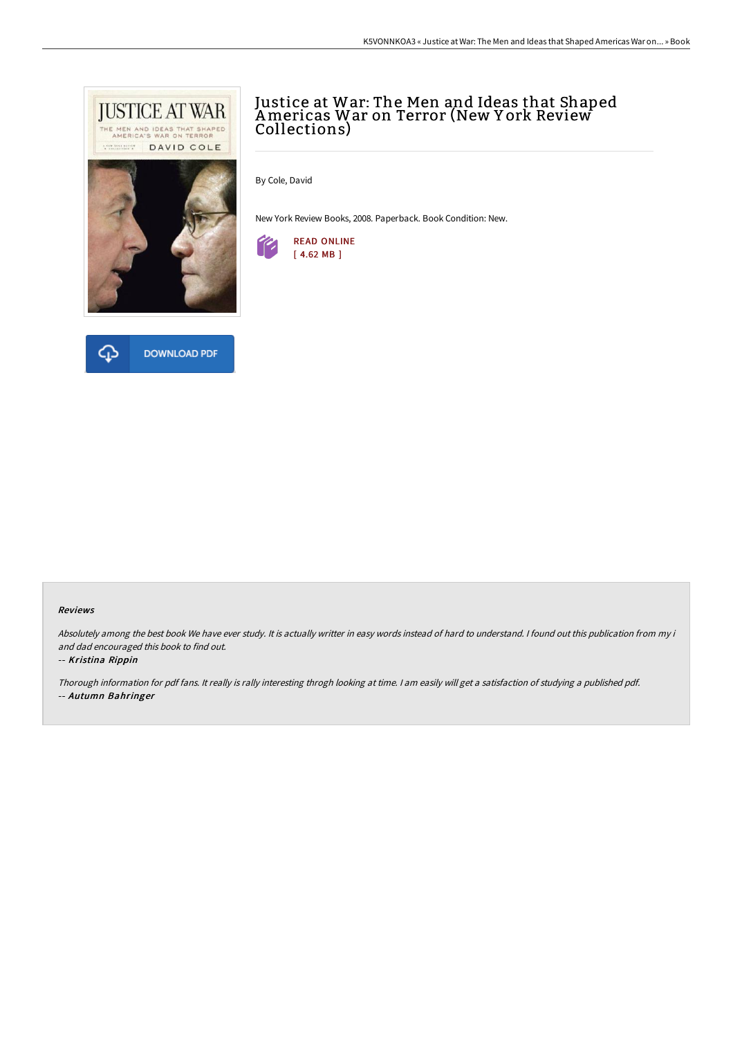



By Cole, David

New York Review Books, 2008. Paperback. Book Condition: New.





## Reviews

Absolutely among the best book We have ever study. It is actually writter in easy words instead of hard to understand. <sup>I</sup> found out this publication from my i and dad encouraged this book to find out.

#### -- Kristina Rippin

Thorough information for pdf fans. It really is rally interesting throgh looking at time. <sup>I</sup> am easily will get <sup>a</sup> satisfaction of studying <sup>a</sup> published pdf. -- Autumn Bahringer